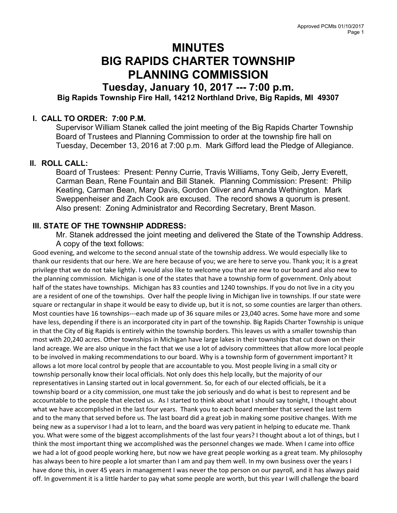# MINUTES BIG RAPIDS CHARTER TOWNSHIP PLANNING COMMISSION

# Tuesday, January 10, 2017 --- 7:00 p.m. Big Rapids Township Fire Hall, 14212 Northland Drive, Big Rapids, MI 49307

#### I. CALL TO ORDER: 7:00 P.M.

Supervisor William Stanek called the joint meeting of the Big Rapids Charter Township Board of Trustees and Planning Commission to order at the township fire hall on Tuesday, December 13, 2016 at 7:00 p.m. Mark Gifford lead the Pledge of Allegiance.

#### II. ROLL CALL:

Board of Trustees: Present: Penny Currie, Travis Williams, Tony Geib, Jerry Everett, Carman Bean, Rene Fountain and Bill Stanek. Planning Commission: Present: Philip Keating, Carman Bean, Mary Davis, Gordon Oliver and Amanda Wethington. Mark Sweppenheiser and Zach Cook are excused. The record shows a quorum is present. Also present: Zoning Administrator and Recording Secretary, Brent Mason.

## III. STATE OF THE TOWNSHIP ADDRESS:

Mr. Stanek addressed the joint meeting and delivered the State of the Township Address. A copy of the text follows:

Good evening, and welcome to the second annual state of the township address. We would especially like to thank our residents that our here. We are here because of you; we are here to serve you. Thank you; it is a great privilege that we do not take lightly. I would also like to welcome you that are new to our board and also new to the planning commission. Michigan is one of the states that have a township form of government. Only about half of the states have townships. Michigan has 83 counties and 1240 townships. If you do not live in a city you are a resident of one of the townships. Over half the people living in Michigan live in townships. If our state were square or rectangular in shape it would be easy to divide up, but it is not, so some counties are larger than others. Most counties have 16 townships---each made up of 36 square miles or 23,040 acres. Some have more and some have less, depending if there is an incorporated city in part of the township. Big Rapids Charter Township is unique in that the City of Big Rapids is entirely within the township borders. This leaves us with a smaller township than most with 20,240 acres. Other townships in Michigan have large lakes in their townships that cut down on their land acreage. We are also unique in the fact that we use a lot of advisory committees that allow more local people to be involved in making recommendations to our board. Why is a township form of government important? It allows a lot more local control by people that are accountable to you. Most people living in a small city or township personally know their local officials. Not only does this help locally, but the majority of our representatives in Lansing started out in local government. So, for each of our elected officials, be it a township board or a city commission, one must take the job seriously and do what is best to represent and be accountable to the people that elected us. As I started to think about what I should say tonight, I thought about what we have accomplished in the last four years. Thank you to each board member that served the last term and to the many that served before us. The last board did a great job in making some positive changes. With me being new as a supervisor I had a lot to learn, and the board was very patient in helping to educate me. Thank you. What were some of the biggest accomplishments of the last four years? I thought about a lot of things, but I think the most important thing we accomplished was the personnel changes we made. When I came into office we had a lot of good people working here, but now we have great people working as a great team. My philosophy has always been to hire people a lot smarter than I am and pay them well. In my own business over the years I have done this, in over 45 years in management I was never the top person on our payroll, and it has always paid off. In government it is a little harder to pay what some people are worth, but this year I will challenge the board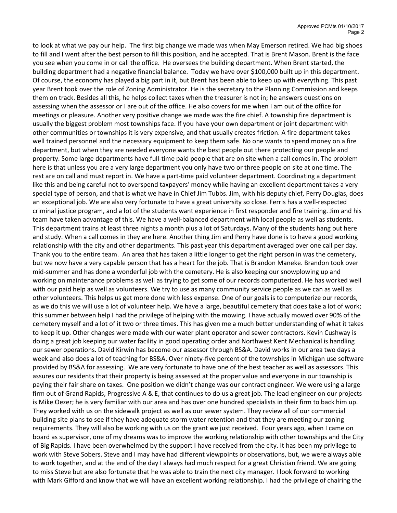to look at what we pay our help. The first big change we made was when May Emerson retired. We had big shoes to fill and I went after the best person to fill this position, and he accepted. That is Brent Mason. Brent is the face you see when you come in or call the office. He oversees the building department. When Brent started, the building department had a negative financial balance. Today we have over \$100,000 built up in this department. Of course, the economy has played a big part in it, but Brent has been able to keep up with everything. This past year Brent took over the role of Zoning Administrator. He is the secretary to the Planning Commission and keeps them on track. Besides all this, he helps collect taxes when the treasurer is not in; he answers questions on assessing when the assessor or I are out of the office. He also covers for me when I am out of the office for meetings or pleasure. Another very positive change we made was the fire chief. A township fire department is usually the biggest problem most townships face. If you have your own department or joint department with other communities or townships it is very expensive, and that usually creates friction. A fire department takes well trained personnel and the necessary equipment to keep them safe. No one wants to spend money on a fire department, but when they are needed everyone wants the best people out there protecting our people and property. Some large departments have full-time paid people that are on site when a call comes in. The problem here is that unless you are a very large department you only have two or three people on site at one time. The rest are on call and must report in. We have a part-time paid volunteer department. Coordinating a department like this and being careful not to overspend taxpayers' money while having an excellent department takes a very special type of person, and that is what we have in Chief Jim Tubbs. Jim, with his deputy chief, Perry Douglas, does an exceptional job. We are also very fortunate to have a great university so close. Ferris has a well-respected criminal justice program, and a lot of the students want experience in first responder and fire training. Jim and his team have taken advantage of this. We have a well-balanced department with local people as well as students. This department trains at least three nights a month plus a lot of Saturdays. Many of the students hang out here and study. When a call comes in they are here. Another thing Jim and Perry have done is to have a good working relationship with the city and other departments. This past year this department averaged over one call per day. Thank you to the entire team. An area that has taken a little longer to get the right person in was the cemetery, but we now have a very capable person that has a heart for the job. That is Brandon Maneke. Brandon took over mid-summer and has done a wonderful job with the cemetery. He is also keeping our snowplowing up and working on maintenance problems as well as trying to get some of our records computerized. He has worked well with our paid help as well as volunteers. We try to use as many community service people as we can as well as other volunteers. This helps us get more done with less expense. One of our goals is to computerize our records, as we do this we will use a lot of volunteer help. We have a large, beautiful cemetery that does take a lot of work; this summer between help I had the privilege of helping with the mowing. I have actually mowed over 90% of the cemetery myself and a lot of it two or three times. This has given me a much better understanding of what it takes to keep it up. Other changes were made with our water plant operator and sewer contractors. Kevin Cushway is doing a great job keeping our water facility in good operating order and Northwest Kent Mechanical is handling our sewer operations. David Kirwin has become our assessor through BS&A. David works in our area two days a week and also does a lot of teaching for BS&A. Over ninety-five percent of the townships in Michigan use software provided by BS&A for assessing. We are very fortunate to have one of the best teacher as well as assessors. This assures our residents that their property is being assessed at the proper value and everyone in our township is paying their fair share on taxes. One position we didn't change was our contract engineer. We were using a large firm out of Grand Rapids, Progressive A & E, that continues to do us a great job. The lead engineer on our projects is Mike Oezer; he is very familiar with our area and has over one hundred specialists in their firm to back him up. They worked with us on the sidewalk project as well as our sewer system. They review all of our commercial building site plans to see if they have adequate storm water retention and that they are meeting our zoning requirements. They will also be working with us on the grant we just received. Four years ago, when I came on board as supervisor, one of my dreams was to improve the working relationship with other townships and the City of Big Rapids. I have been overwhelmed by the support I have received from the city. It has been my privilege to work with Steve Sobers. Steve and I may have had different viewpoints or observations, but, we were always able to work together, and at the end of the day I always had much respect for a great Christian friend. We are going to miss Steve but are also fortunate that he was able to train the next city manager. I look forward to working with Mark Gifford and know that we will have an excellent working relationship. I had the privilege of chairing the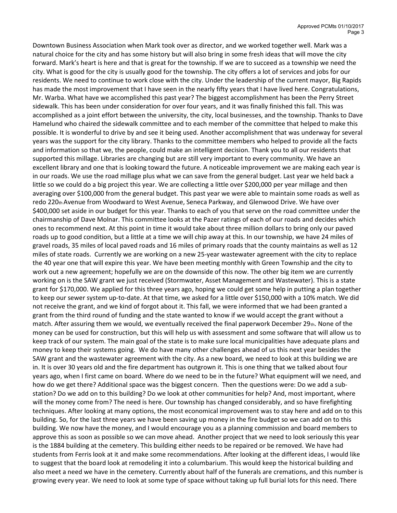Downtown Business Association when Mark took over as director, and we worked together well. Mark was a natural choice for the city and has some history but will also bring in some fresh ideas that will move the city forward. Mark's heart is here and that is great for the township. If we are to succeed as a township we need the city. What is good for the city is usually good for the township. The city offers a lot of services and jobs for our residents. We need to continue to work close with the city. Under the leadership of the current mayor, Big Rapids has made the most improvement that I have seen in the nearly fifty years that I have lived here. Congratulations, Mr. Warba. What have we accomplished this past year? The biggest accomplishment has been the Perry Street sidewalk. This has been under consideration for over four years, and it was finally finished this fall. This was accomplished as a joint effort between the university, the city, local businesses, and the township. Thanks to Dave Hamelund who chaired the sidewalk committee and to each member of the committee that helped to make this possible. It is wonderful to drive by and see it being used. Another accomplishment that was underway for several years was the support for the city library. Thanks to the committee members who helped to provide all the facts and information so that we, the people, could make an intelligent decision. Thank you to all our residents that supported this millage. Libraries are changing but are still very important to every community. We have an excellent library and one that is looking toward the future. A noticeable improvement we are making each year is in our roads. We use the road millage plus what we can save from the general budget. Last year we held back a little so we could do a big project this year. We are collecting a little over \$200,000 per year millage and then averaging over \$100,000 from the general budget. This past year we were able to maintain some roads as well as redo 220th Avenue from Woodward to West Avenue, Seneca Parkway, and Glenwood Drive. We have over \$400,000 set aside in our budget for this year. Thanks to each of you that serve on the road committee under the chairmanship of Dave Molnar. This committee looks at the Pazer ratings of each of our roads and decides which ones to recommend next. At this point in time it would take about three million dollars to bring only our paved roads up to good condition, but a little at a time we will chip away at this. In our township, we have 24 miles of gravel roads, 35 miles of local paved roads and 16 miles of primary roads that the county maintains as well as 12 miles of state roads. Currently we are working on a new 25-year wastewater agreement with the city to replace the 40 year one that will expire this year. We have been meeting monthly with Green Township and the city to work out a new agreement; hopefully we are on the downside of this now. The other big item we are currently working on is the SAW grant we just received (Stormwater, Asset Management and Wastewater). This is a state grant for \$170,000. We applied for this three years ago, hoping we could get some help in putting a plan together to keep our sewer system up-to-date. At that time, we asked for a little over \$150,000 with a 10% match. We did not receive the grant, and we kind of forgot about it. This fall, we were informed that we had been granted a grant from the third round of funding and the state wanted to know if we would accept the grant without a match. After assuring them we would, we eventually received the final paperwork December 29th. None of the money can be used for construction, but this will help us with assessment and some software that will allow us to keep track of our system. The main goal of the state is to make sure local municipalities have adequate plans and money to keep their systems going. We do have many other challenges ahead of us this next year besides the SAW grant and the wastewater agreement with the city. As a new board, we need to look at this building we are in. It is over 30 years old and the fire department has outgrown it. This is one thing that we talked about four years ago, when I first came on board. Where do we need to be in the future? What equipment will we need, and how do we get there? Additional space was the biggest concern. Then the questions were: Do we add a substation? Do we add on to this building? Do we look at other communities for help? And, most important, where will the money come from? The need is here. Our township has changed considerably, and so have firefighting techniques. After looking at many options, the most economical improvement was to stay here and add on to this building. So, for the last three years we have been saving up money in the fire budget so we can add on to this building. We now have the money, and I would encourage you as a planning commission and board members to approve this as soon as possible so we can move ahead. Another project that we need to look seriously this year is the 1884 building at the cemetery. This building either needs to be repaired or be removed. We have had students from Ferris look at it and make some recommendations. After looking at the different ideas, I would like to suggest that the board look at remodeling it into a columbarium. This would keep the historical building and also meet a need we have in the cemetery. Currently about half of the funerals are cremations, and this number is growing every year. We need to look at some type of space without taking up full burial lots for this need. There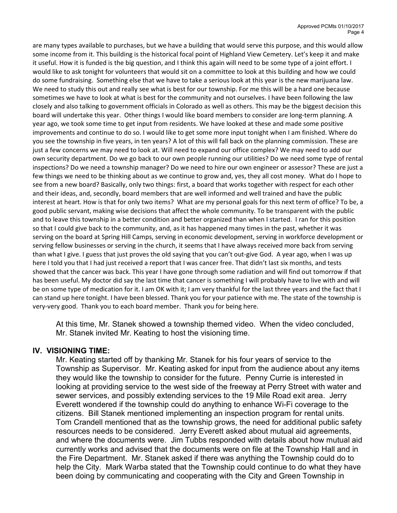are many types available to purchases, but we have a building that would serve this purpose, and this would allow some income from it. This building is the historical focal point of Highland View Cemetery. Let's keep it and make it useful. How it is funded is the big question, and I think this again will need to be some type of a joint effort. I would like to ask tonight for volunteers that would sit on a committee to look at this building and how we could do some fundraising. Something else that we have to take a serious look at this year is the new marijuana law. We need to study this out and really see what is best for our township. For me this will be a hard one because sometimes we have to look at what is best for the community and not ourselves. I have been following the law closely and also talking to government officials in Colorado as well as others. This may be the biggest decision this board will undertake this year. Other things I would like board members to consider are long-term planning. A year ago, we took some time to get input from residents. We have looked at these and made some positive improvements and continue to do so. I would like to get some more input tonight when I am finished. Where do you see the township in five years, in ten years? A lot of this will fall back on the planning commission. These are just a few concerns we may need to look at. Will need to expand our office complex? We may need to add our own security department. Do we go back to our own people running our utilities? Do we need some type of rental inspections? Do we need a township manager? Do we need to hire our own engineer or assessor? These are just a few things we need to be thinking about as we continue to grow and, yes, they all cost money. What do I hope to see from a new board? Basically, only two things: first, a board that works together with respect for each other and their ideas, and, secondly, board members that are well informed and well trained and have the public interest at heart. How is that for only two items? What are my personal goals for this next term of office? To be, a good public servant, making wise decisions that affect the whole community. To be transparent with the public and to leave this township in a better condition and better organized than when I started. I ran for this position so that I could give back to the community, and, as it has happened many times in the past, whether it was serving on the board at Spring Hill Camps, serving in economic development, serving in workforce development or serving fellow businesses or serving in the church, it seems that I have always received more back from serving than what I give. I guess that just proves the old saying that you can't out-give God. A year ago, when I was up here I told you that I had just received a report that I was cancer free. That didn't last six months, and tests showed that the cancer was back. This year I have gone through some radiation and will find out tomorrow if that has been useful. My doctor did say the last time that cancer is something I will probably have to live with and will be on some type of medication for it. I am OK with it; I am very thankful for the last three years and the fact that I can stand up here tonight. I have been blessed. Thank you for your patience with me. The state of the township is very-very good. Thank you to each board member. Thank you for being here.

At this time, Mr. Stanek showed a township themed video. When the video concluded, Mr. Stanek invited Mr. Keating to host the visioning time.

#### IV. VISIONING TIME:

Mr. Keating started off by thanking Mr. Stanek for his four years of service to the Township as Supervisor. Mr. Keating asked for input from the audience about any items they would like the township to consider for the future. Penny Currie is interested in looking at providing service to the west side of the freeway at Perry Street with water and sewer services, and possibly extending services to the 19 Mile Road exit area. Jerry Everett wondered if the township could do anything to enhance Wi-Fi coverage to the citizens. Bill Stanek mentioned implementing an inspection program for rental units. Tom Crandell mentioned that as the township grows, the need for additional public safety resources needs to be considered. Jerry Everett asked about mutual aid agreements, and where the documents were. Jim Tubbs responded with details about how mutual aid currently works and advised that the documents were on file at the Township Hall and in the Fire Department. Mr. Stanek asked if there was anything the Township could do to help the City. Mark Warba stated that the Township could continue to do what they have been doing by communicating and cooperating with the City and Green Township in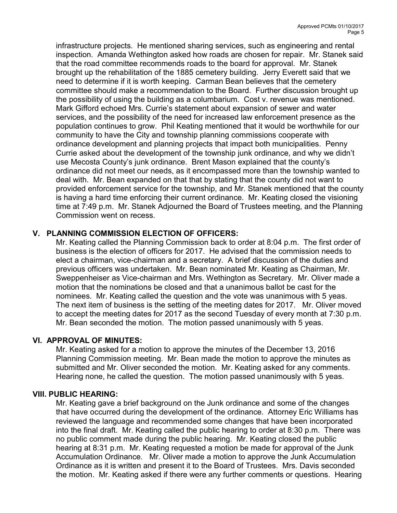infrastructure projects. He mentioned sharing services, such as engineering and rental inspection. Amanda Wethington asked how roads are chosen for repair. Mr. Stanek said that the road committee recommends roads to the board for approval. Mr. Stanek brought up the rehabilitation of the 1885 cemetery building. Jerry Everett said that we need to determine if it is worth keeping. Carman Bean believes that the cemetery committee should make a recommendation to the Board. Further discussion brought up the possibility of using the building as a columbarium. Cost v. revenue was mentioned. Mark Gifford echoed Mrs. Currie's statement about expansion of sewer and water services, and the possibility of the need for increased law enforcement presence as the population continues to grow. Phil Keating mentioned that it would be worthwhile for our community to have the City and township planning commissions cooperate with ordinance development and planning projects that impact both municipalities. Penny Currie asked about the development of the township junk ordinance, and why we didn't use Mecosta County's junk ordinance. Brent Mason explained that the county's ordinance did not meet our needs, as it encompassed more than the township wanted to deal with. Mr. Bean expanded on that that by stating that the county did not want to provided enforcement service for the township, and Mr. Stanek mentioned that the county is having a hard time enforcing their current ordinance. Mr. Keating closed the visioning time at 7:49 p.m. Mr. Stanek Adjourned the Board of Trustees meeting, and the Planning Commission went on recess.

## V. PLANNING COMMISSION ELECTION OF OFFICERS:

Mr. Keating called the Planning Commission back to order at 8:04 p.m. The first order of business is the election of officers for 2017. He advised that the commission needs to elect a chairman, vice-chairman and a secretary. A brief discussion of the duties and previous officers was undertaken. Mr. Bean nominated Mr. Keating as Chairman, Mr. Sweppenheiser as Vice-chairman and Mrs. Wethington as Secretary. Mr. Oliver made a motion that the nominations be closed and that a unanimous ballot be cast for the nominees. Mr. Keating called the question and the vote was unanimous with 5 yeas. The next item of business is the setting of the meeting dates for 2017. Mr. Oliver moved to accept the meeting dates for 2017 as the second Tuesday of every month at 7:30 p.m. Mr. Bean seconded the motion. The motion passed unanimously with 5 yeas.

#### VI. APPROVAL OF MINUTES:

Mr. Keating asked for a motion to approve the minutes of the December 13, 2016 Planning Commission meeting. Mr. Bean made the motion to approve the minutes as submitted and Mr. Oliver seconded the motion. Mr. Keating asked for any comments. Hearing none, he called the question. The motion passed unanimously with 5 yeas.

#### VIII. PUBLIC HEARING:

Mr. Keating gave a brief background on the Junk ordinance and some of the changes that have occurred during the development of the ordinance. Attorney Eric Williams has reviewed the language and recommended some changes that have been incorporated into the final draft. Mr. Keating called the public hearing to order at 8:30 p.m. There was no public comment made during the public hearing. Mr. Keating closed the public hearing at 8:31 p.m. Mr. Keating requested a motion be made for approval of the Junk Accumulation Ordinance. Mr. Oliver made a motion to approve the Junk Accumulation Ordinance as it is written and present it to the Board of Trustees. Mrs. Davis seconded the motion. Mr. Keating asked if there were any further comments or questions. Hearing